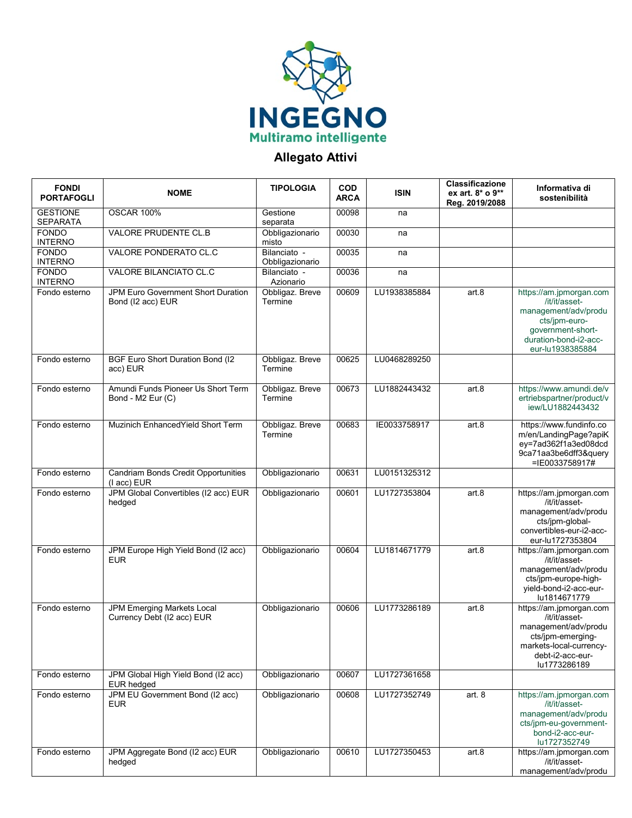

## **Allegato Attivi**

| <b>FONDI</b><br><b>PORTAFOGLI</b>  | <b>NOME</b>                                               | <b>TIPOLOGIA</b>                | <b>COD</b><br><b>ARCA</b> | <b>ISIN</b>  | Classificazione<br>ex art. 8* o 9**<br>Reg. 2019/2088 | Informativa di<br>sostenibilità                                                                                                                      |
|------------------------------------|-----------------------------------------------------------|---------------------------------|---------------------------|--------------|-------------------------------------------------------|------------------------------------------------------------------------------------------------------------------------------------------------------|
| <b>GESTIONE</b><br><b>SEPARATA</b> | <b>OSCAR 100%</b>                                         | Gestione<br>separata            | 00098                     | na           |                                                       |                                                                                                                                                      |
| <b>FONDO</b><br><b>INTERNO</b>     | <b>VALORE PRUDENTE CL.B</b>                               | Obbligazionario<br>misto        | 00030                     | na           |                                                       |                                                                                                                                                      |
| <b>FONDO</b><br><b>INTERNO</b>     | VALORE PONDERATO CL.C                                     | Bilanciato -<br>Obbligazionario | 00035                     | na           |                                                       |                                                                                                                                                      |
| <b>FONDO</b><br><b>INTERNO</b>     | VALORE BILANCIATO CL.C                                    | Bilanciato -<br>Azionario       | 00036                     | na           |                                                       |                                                                                                                                                      |
| Fondo esterno                      | JPM Euro Government Short Duration<br>Bond (I2 acc) EUR   | Obbligaz. Breve<br>Termine      | 00609                     | LU1938385884 | art.8                                                 | https://am.jpmorgan.com<br>/it/it/asset-<br>management/adv/produ<br>cts/jpm-euro-<br>government-short-<br>duration-bond-i2-acc-<br>eur-lu1938385884  |
| Fondo esterno                      | <b>BGF Euro Short Duration Bond (I2</b><br>acc) EUR       | Obbligaz. Breve<br>Termine      | 00625                     | LU0468289250 |                                                       |                                                                                                                                                      |
| Fondo esterno                      | Amundi Funds Pioneer Us Short Term<br>Bond - M2 Eur (C)   | Obbligaz. Breve<br>Termine      | 00673                     | LU1882443432 | art.8                                                 | https://www.amundi.de/v<br>ertriebspartner/product/v<br>iew/LU1882443432                                                                             |
| Fondo esterno                      | Muzinich Enhanced Yield Short Term                        | Obbligaz. Breve<br>Termine      | 00683                     | IE0033758917 | art.8                                                 | https://www.fundinfo.co<br>m/en/LandingPage?apiK<br>ey=7ad362f1a3ed08dcd<br>9ca71aa3be6dff3&query<br>=IE0033758917#                                  |
| Fondo esterno                      | <b>Candriam Bonds Credit Opportunities</b><br>(I acc) EUR | Obbligazionario                 | 00631                     | LU0151325312 |                                                       |                                                                                                                                                      |
| Fondo esterno                      | JPM Global Convertibles (I2 acc) EUR<br>hedged            | Obbligazionario                 | 00601                     | LU1727353804 | art.8                                                 | https://am.jpmorgan.com<br>/it/it/asset-<br>management/adv/produ<br>cts/jpm-global-<br>convertibles-eur-i2-acc-<br>eur-lu1727353804                  |
| Fondo esterno                      | JPM Europe High Yield Bond (I2 acc)<br><b>EUR</b>         | Obbligazionario                 | 00604                     | LU1814671779 | art.8                                                 | https://am.jpmorgan.com<br>/it/it/asset-<br>management/adv/produ<br>cts/jpm-europe-high-<br>yield-bond-i2-acc-eur-<br>lu1814671779                   |
| Fondo esterno                      | JPM Emerging Markets Local<br>Currency Debt (I2 acc) EUR  | Obbligazionario                 | 00606                     | LU1773286189 | art.8                                                 | https://am.jpmorgan.com<br>/it/it/asset-<br>management/adv/produ<br>cts/jpm-emerging-<br>markets-local-currency-<br>debt-i2-acc-eur-<br>lu1773286189 |
| Fondo esterno                      | JPM Global High Yield Bond (I2 acc)<br><b>EUR</b> hedged  | Obbligazionario                 | 00607                     | LU1727361658 |                                                       |                                                                                                                                                      |
| Fondo esterno                      | JPM EU Government Bond (I2 acc)<br><b>EUR</b>             | Obbligazionario                 | 00608                     | LU1727352749 | art.8                                                 | https://am.jpmorgan.com<br>/it/it/asset-<br>management/adv/produ<br>cts/jpm-eu-government-<br>bond-i2-acc-eur-<br>lu1727352749                       |
| Fondo esterno                      | JPM Aggregate Bond (I2 acc) EUR<br>hedged                 | Obbligazionario                 | 00610                     | LU1727350453 | art.8                                                 | https://am.jpmorgan.com<br>/it/it/asset-<br>management/adv/produ                                                                                     |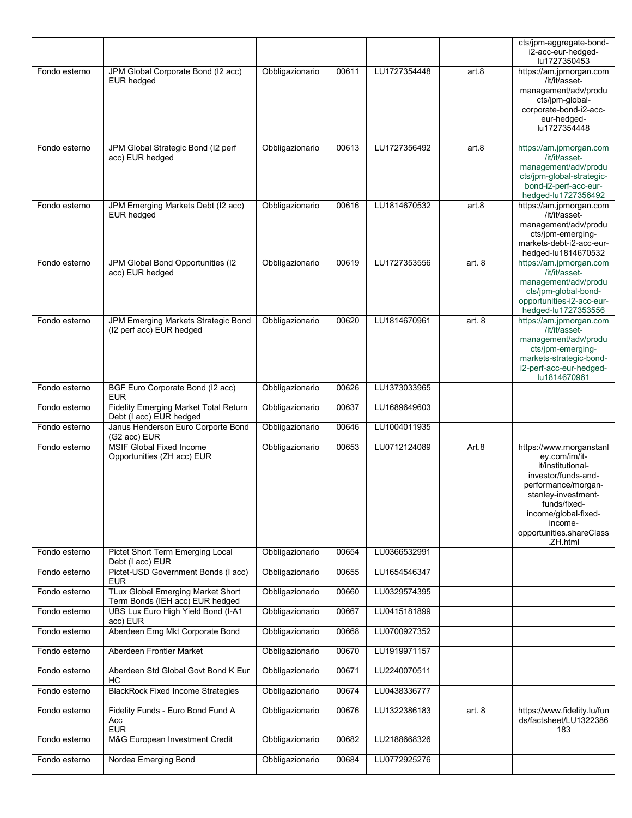|               |                                                                             |                 |       |              |          | cts/jpm-aggregate-bond-<br>i2-acc-eur-hedged-<br>lu1727350453                                                                                                                                                                 |
|---------------|-----------------------------------------------------------------------------|-----------------|-------|--------------|----------|-------------------------------------------------------------------------------------------------------------------------------------------------------------------------------------------------------------------------------|
| Fondo esterno | JPM Global Corporate Bond (I2 acc)<br><b>EUR hedged</b>                     | Obbligazionario | 00611 | LU1727354448 | art.8    | https://am.jpmorgan.com<br>/it/it/asset-<br>management/adv/produ<br>cts/jpm-global-<br>corporate-bond-i2-acc-<br>eur-hedged-<br>lu1727354448                                                                                  |
| Fondo esterno | JPM Global Strategic Bond (I2 perf<br>acc) EUR hedged                       | Obbligazionario | 00613 | LU1727356492 | art.8    | https://am.jpmorgan.com<br>/it/it/asset-<br>management/adv/produ<br>cts/jpm-global-strategic-<br>bond-i2-perf-acc-eur-<br>hedged-lu1727356492                                                                                 |
| Fondo esterno | JPM Emerging Markets Debt (I2 acc)<br><b>EUR hedged</b>                     | Obbligazionario | 00616 | LU1814670532 | art.8    | https://am.jpmorgan.com<br>/it/it/asset-<br>management/adv/produ<br>cts/jpm-emerging-<br>markets-debt-i2-acc-eur-<br>hedged-lu1814670532                                                                                      |
| Fondo esterno | JPM Global Bond Opportunities (I2<br>acc) EUR hedged                        | Obbligazionario | 00619 | LU1727353556 | art. $8$ | https://am.jpmorgan.com<br>/it/it/asset-<br>management/adv/produ<br>cts/jpm-global-bond-<br>opportunities-i2-acc-eur-<br>hedged-lu1727353556                                                                                  |
| Fondo esterno | JPM Emerging Markets Strategic Bond<br>(I2 perf acc) EUR hedged             | Obbligazionario | 00620 | LU1814670961 | art. $8$ | https://am.jpmorgan.com<br>/it/it/asset-<br>management/adv/produ<br>cts/jpm-emerging-<br>markets-strategic-bond-<br>i2-perf-acc-eur-hedged-<br>lu1814670961                                                                   |
| Fondo esterno | BGF Euro Corporate Bond (I2 acc)<br><b>EUR</b>                              | Obbligazionario | 00626 | LU1373033965 |          |                                                                                                                                                                                                                               |
| Fondo esterno | Fidelity Emerging Market Total Return<br>Debt (I acc) EUR hedged            | Obbligazionario | 00637 | LU1689649603 |          |                                                                                                                                                                                                                               |
| Fondo esterno | Janus Henderson Euro Corporte Bond<br>(G2 acc) EUR                          | Obbligazionario | 00646 | LU1004011935 |          |                                                                                                                                                                                                                               |
| Fondo esterno | <b>MSIF Global Fixed Income</b><br>Opportunities (ZH acc) EUR               | Obbligazionario | 00653 | LU0712124089 | Art.8    | https://www.morganstanl<br>ey.com/im/it-<br>it/institutional-<br>investor/funds-and-<br>performance/morgan-<br>stanley-investment-<br>funds/fixed-<br>income/global-fixed-<br>income-<br>opportunities.shareClass<br>.ZH.html |
| Fondo esterno | Pictet Short Term Emerging Local<br>Debt (I acc) EUR                        | Obbligazionario | 00654 | LU0366532991 |          |                                                                                                                                                                                                                               |
| Fondo esterno | Pictet-USD Government Bonds (I acc)<br><b>EUR</b>                           | Obbligazionario | 00655 | LU1654546347 |          |                                                                                                                                                                                                                               |
| Fondo esterno | <b>TLux Global Emerging Market Short</b><br>Term Bonds (IEH acc) EUR hedged | Obbligazionario | 00660 | LU0329574395 |          |                                                                                                                                                                                                                               |
| Fondo esterno | UBS Lux Euro High Yield Bond (I-A1<br>acc) EUR                              | Obbligazionario | 00667 | LU0415181899 |          |                                                                                                                                                                                                                               |
| Fondo esterno | Aberdeen Emg Mkt Corporate Bond                                             | Obbligazionario | 00668 | LU0700927352 |          |                                                                                                                                                                                                                               |
| Fondo esterno | Aberdeen Frontier Market                                                    | Obbligazionario | 00670 | LU1919971157 |          |                                                                                                                                                                                                                               |
| Fondo esterno | Aberdeen Std Global Govt Bond K Eur<br>НC                                   | Obbligazionario | 00671 | LU2240070511 |          |                                                                                                                                                                                                                               |
| Fondo esterno | <b>BlackRock Fixed Income Strategies</b>                                    | Obbligazionario | 00674 | LU0438336777 |          |                                                                                                                                                                                                                               |
| Fondo esterno | Fidelity Funds - Euro Bond Fund A<br>Acc<br><b>EUR</b>                      | Obbligazionario | 00676 | LU1322386183 | art.8    | https://www.fidelity.lu/fun<br>ds/factsheet/LU1322386<br>183                                                                                                                                                                  |
| Fondo esterno | M&G European Investment Credit                                              | Obbligazionario | 00682 | LU2188668326 |          |                                                                                                                                                                                                                               |
| Fondo esterno | Nordea Emerging Bond                                                        | Obbligazionario | 00684 | LU0772925276 |          |                                                                                                                                                                                                                               |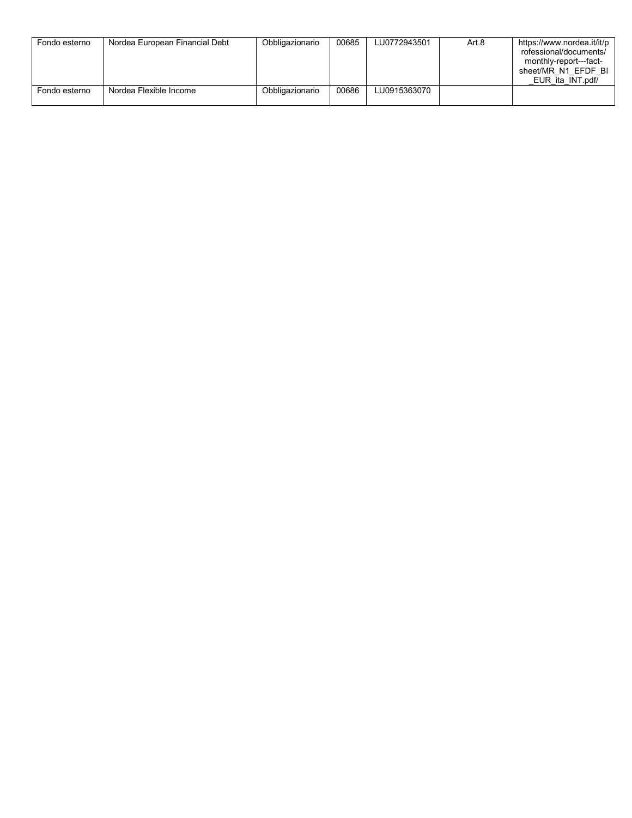| Fondo esterno | Nordea European Financial Debt | Obbligazionario | 00685 | LU0772943501 | Art.8 | https://www.nordea.it/it/p<br>rofessional/documents/<br>monthly-report---fact-<br>sheet/MR N1 EFDF BI<br>EUR ita INT.pdf/ |
|---------------|--------------------------------|-----------------|-------|--------------|-------|---------------------------------------------------------------------------------------------------------------------------|
| Fondo esterno | Nordea Flexible Income         | Obbligazionario | 00686 | LU0915363070 |       |                                                                                                                           |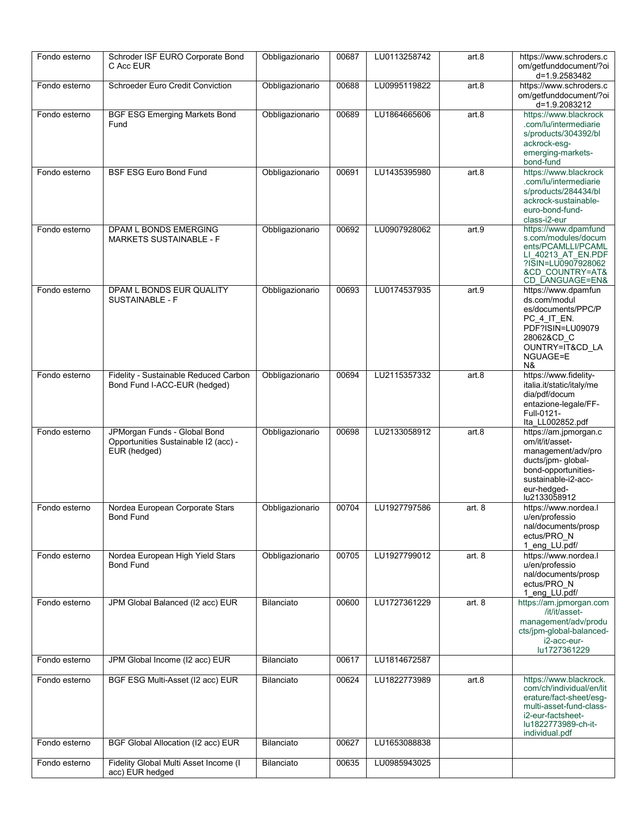| Fondo esterno | Schroder ISF EURO Corporate Bond<br>C Acc EUR                                        | Obbligazionario   | 00687 | LU0113258742 | art.8    | https://www.schroders.c<br>om/getfunddocument/?oi<br>d=1.9.2583482                                                                                                     |
|---------------|--------------------------------------------------------------------------------------|-------------------|-------|--------------|----------|------------------------------------------------------------------------------------------------------------------------------------------------------------------------|
| Fondo esterno | <b>Schroeder Euro Credit Conviction</b>                                              | Obbligazionario   | 00688 | LU0995119822 | art.8    | https://www.schroders.c<br>om/getfunddocument/?oi<br>d=1.9.2083212                                                                                                     |
| Fondo esterno | <b>BGF ESG Emerging Markets Bond</b><br>Fund                                         | Obbligazionario   | 00689 | LU1864665606 | art.8    | https://www.blackrock<br>.com/lu/intermediarie<br>s/products/304392/bl<br>ackrock-esg-<br>emerging-markets-<br>bond-fund                                               |
| Fondo esterno | <b>BSF ESG Euro Bond Fund</b>                                                        | Obbligazionario   | 00691 | LU1435395980 | art.8    | https://www.blackrock<br>.com/lu/intermediarie<br>s/products/284434/bl<br>ackrock-sustainable-<br>euro-bond-fund-<br>class-i2-eur                                      |
| Fondo esterno | DPAM L BONDS EMERGING<br><b>MARKETS SUSTAINABLE - F</b>                              | Obbligazionario   | 00692 | LU0907928062 | art.9    | https://www.dpamfund<br>s.com/modules/docum<br>ents/PCAMLLI/PCAML<br>LI 40213 AT EN.PDF<br>?ISIN=LU0907928062<br>&CD COUNTRY=AT&<br>CD_LANGUAGE=EN&                    |
| Fondo esterno | DPAM L BONDS EUR QUALITY<br><b>SUSTAINABLE - F</b>                                   | Obbligazionario   | 00693 | LU0174537935 | art.9    | https://www.dpamfun<br>ds.com/modul<br>es/documents/PPC/P<br>PC 4 IT EN.<br>PDF?ISIN=LU09079<br>28062&CD C<br>OUNTRY=IT&CD LA<br>NGUAGE=E<br>N&                        |
| Fondo esterno | Fidelity - Sustainable Reduced Carbon<br>Bond Fund I-ACC-EUR (hedged)                | Obbligazionario   | 00694 | LU2115357332 | art.8    | https://www.fidelity-<br>italia.it/static/italy/me<br>dia/pdf/docum<br>entazione-legale/FF-<br>Full-0121-<br>Ita LL002852.pdf                                          |
| Fondo esterno | JPMorgan Funds - Global Bond<br>Opportunities Sustainable I2 (acc) -<br>EUR (hedged) | Obbligazionario   | 00698 | LU2133058912 | art.8    | https://am.jpmorgan.c<br>om/it/it/asset-<br>management/adv/pro<br>ducts/jpm- global-<br>bond-opportunities-<br>sustainable-i2-acc-<br>eur-hedged-<br>lu2133058912      |
| Fondo esterno | Nordea European Corporate Stars<br><b>Bond Fund</b>                                  | Obbligazionario   | 00704 | LU1927797586 | art. $8$ | https://www.nordea.l<br>u/en/professio<br>nal/documents/prosp<br>ectus/PRO N<br>1_eng_LU.pdf/                                                                          |
| Fondo esterno | Nordea European High Yield Stars<br><b>Bond Fund</b>                                 | Obbligazionario   | 00705 | LU1927799012 | art. 8   | https://www.nordea.l<br>u/en/professio<br>nal/documents/prosp<br>ectus/PRO N<br>1_eng_LU.pdf/                                                                          |
| Fondo esterno | JPM Global Balanced (I2 acc) EUR                                                     | Bilanciato        | 00600 | LU1727361229 | art. $8$ | https://am.jpmorgan.com<br>/it/it/asset-<br>management/adv/produ<br>cts/jpm-global-balanced-<br>i2-acc-eur-<br>lu1727361229                                            |
| Fondo esterno | JPM Global Income (I2 acc) EUR                                                       | Bilanciato        | 00617 | LU1814672587 |          |                                                                                                                                                                        |
| Fondo esterno | BGF ESG Multi-Asset (I2 acc) EUR                                                     | <b>Bilanciato</b> | 00624 | LU1822773989 | art.8    | https://www.blackrock.<br>com/ch/individual/en/lit<br>erature/fact-sheet/esg-<br>multi-asset-fund-class-<br>i2-eur-factsheet-<br>lu1822773989-ch-it-<br>individual.pdf |
| Fondo esterno | BGF Global Allocation (I2 acc) EUR                                                   | Bilanciato        | 00627 | LU1653088838 |          |                                                                                                                                                                        |
| Fondo esterno | Fidelity Global Multi Asset Income (I<br>acc) EUR hedged                             | Bilanciato        | 00635 | LU0985943025 |          |                                                                                                                                                                        |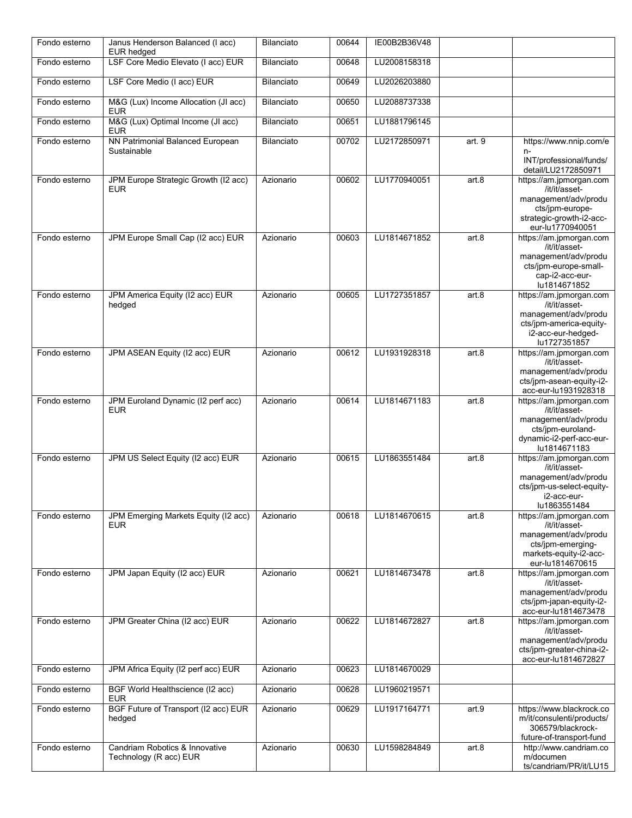| Fondo esterno | Janus Henderson Balanced (I acc)<br><b>EUR</b> hedged    | Bilanciato | 00644 | IE00B2B36V48 |        |                                                                                                                                                            |
|---------------|----------------------------------------------------------|------------|-------|--------------|--------|------------------------------------------------------------------------------------------------------------------------------------------------------------|
| Fondo esterno | LSF Core Medio Elevato (I acc) EUR                       | Bilanciato | 00648 | LU2008158318 |        |                                                                                                                                                            |
| Fondo esterno | LSF Core Medio (I acc) EUR                               | Bilanciato | 00649 | LU2026203880 |        |                                                                                                                                                            |
| Fondo esterno | M&G (Lux) Income Allocation (JI acc)<br><b>EUR</b>       | Bilanciato | 00650 | LU2088737338 |        |                                                                                                                                                            |
| Fondo esterno | M&G (Lux) Optimal Income (JI acc)<br><b>EUR</b>          | Bilanciato | 00651 | LU1881796145 |        |                                                                                                                                                            |
| Fondo esterno | NN Patrimonial Balanced European<br>Sustainable          | Bilanciato | 00702 | LU2172850971 | art. 9 | https://www.nnip.com/e<br>$n-$<br>INT/professional/funds/                                                                                                  |
| Fondo esterno | JPM Europe Strategic Growth (I2 acc)<br><b>EUR</b>       | Azionario  | 00602 | LU1770940051 | art.8  | detail/LU2172850971<br>https://am.jpmorgan.com<br>/it/it/asset-<br>management/adv/produ<br>cts/jpm-europe-<br>strategic-growth-i2-acc-<br>eur-lu1770940051 |
| Fondo esterno | JPM Europe Small Cap (I2 acc) EUR                        | Azionario  | 00603 | LU1814671852 | art.8  | https://am.jpmorgan.com<br>/it/it/asset-<br>management/adv/produ<br>cts/jpm-europe-small-<br>cap-i2-acc-eur-<br>lu1814671852                               |
| Fondo esterno | JPM America Equity (I2 acc) EUR<br>hedged                | Azionario  | 00605 | LU1727351857 | art.8  | https://am.jpmorgan.com<br>/it/it/asset-<br>management/adv/produ<br>cts/jpm-america-equity-<br>i2-acc-eur-hedged-<br>lu1727351857                          |
| Fondo esterno | JPM ASEAN Equity (I2 acc) EUR                            | Azionario  | 00612 | LU1931928318 | art.8  | https://am.jpmorgan.com<br>/it/it/asset-<br>management/adv/produ<br>cts/jpm-asean-equity-i2-<br>acc-eur-lu1931928318                                       |
| Fondo esterno | JPM Euroland Dynamic (I2 perf acc)<br><b>EUR</b>         | Azionario  | 00614 | LU1814671183 | art.8  | https://am.jpmorgan.com<br>/it/it/asset-<br>management/adv/produ<br>cts/jpm-euroland-<br>dynamic-i2-perf-acc-eur-<br>lu1814671183                          |
| Fondo esterno | JPM US Select Equity (I2 acc) EUR                        | Azionario  | 00615 | LU1863551484 | art.8  | https://am.jpmorgan.com<br>/it/it/asset-<br>management/adv/produ<br>cts/jpm-us-select-equity-<br>i2-acc-eur-<br>lu1863551484                               |
| Fondo esterno | JPM Emerging Markets Equity (I2 acc)<br><b>EUR</b>       | Azionario  | 00618 | LU1814670615 | art.8  | https://am.jpmorgan.com<br>/it/it/asset-<br>management/adv/produ<br>cts/jpm-emerging-<br>markets-equity-i2-acc-<br>eur-lu1814670615                        |
| Fondo esterno | JPM Japan Equity (I2 acc) EUR                            | Azionario  | 00621 | LU1814673478 | art.8  | https://am.jpmorgan.com<br>/it/it/asset-<br>management/adv/produ<br>cts/jpm-japan-equity-i2-<br>acc-eur-lu1814673478                                       |
| Fondo esterno | JPM Greater China (I2 acc) EUR                           | Azionario  | 00622 | LU1814672827 | art.8  | https://am.jpmorgan.com<br>/it/it/asset-<br>management/adv/produ<br>cts/jpm-greater-china-i2-<br>acc-eur-lu1814672827                                      |
| Fondo esterno | JPM Africa Equity (I2 perf acc) EUR                      | Azionario  | 00623 | LU1814670029 |        |                                                                                                                                                            |
| Fondo esterno | BGF World Healthscience (I2 acc)<br><b>EUR</b>           | Azionario  | 00628 | LU1960219571 |        |                                                                                                                                                            |
| Fondo esterno | BGF Future of Transport (I2 acc) EUR<br>hedged           | Azionario  | 00629 | LU1917164771 | art.9  | https://www.blackrock.co<br>m/it/consulenti/products/<br>306579/blackrock-<br>future-of-transport-fund                                                     |
| Fondo esterno | Candriam Robotics & Innovative<br>Technology (R acc) EUR | Azionario  | 00630 | LU1598284849 | art.8  | http://www.candriam.co<br>m/documen<br>ts/candriam/PR/it/LU15                                                                                              |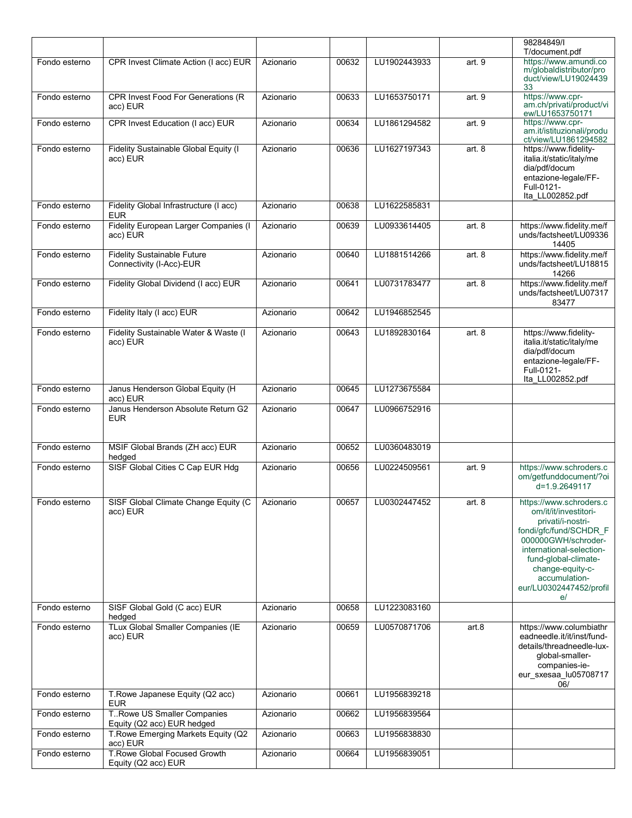|               |                                                                |           |       |                    |          | 98284849/I<br>T/document.pdf                                                                                                                                                                                                                     |
|---------------|----------------------------------------------------------------|-----------|-------|--------------------|----------|--------------------------------------------------------------------------------------------------------------------------------------------------------------------------------------------------------------------------------------------------|
| Fondo esterno | CPR Invest Climate Action (I acc) EUR                          | Azionario | 00632 | LU1902443933       | art. 9   | https://www.amundi.co<br>m/globaldistributor/pro<br>duct/view/LU19024439<br>33                                                                                                                                                                   |
| Fondo esterno | <b>CPR Invest Food For Generations (R</b><br>acc) EUR          | Azionario | 00633 | LU1653750171       | art. 9   | https://www.cpr-<br>am.ch/privati/product/vi<br>ew/LU1653750171                                                                                                                                                                                  |
| Fondo esterno | CPR Invest Education (I acc) EUR                               | Azionario | 00634 | LU1861294582       | art. 9   | https://www.cpr-<br>am.it/istituzionali/produ<br>ct/view/LU1861294582                                                                                                                                                                            |
| Fondo esterno | Fidelity Sustainable Global Equity (I<br>acc) EUR              | Azionario | 00636 | LU1627197343       | art.8    | https://www.fidelity-<br>italia.it/static/italy/me<br>dia/pdf/docum<br>entazione-legale/FF-<br>Full-0121-<br>Ita LL002852.pdf                                                                                                                    |
| Fondo esterno | Fidelity Global Infrastructure (I acc)<br><b>EUR</b>           | Azionario | 00638 | LU1622585831       |          |                                                                                                                                                                                                                                                  |
| Fondo esterno | Fidelity European Larger Companies (I<br>acc) EUR              | Azionario | 00639 | LU0933614405       | art. $8$ | https://www.fidelity.me/f<br>unds/factsheet/LU09336<br>14405                                                                                                                                                                                     |
| Fondo esterno | <b>Fidelity Sustainable Future</b><br>Connectivity (I-Acc)-EUR | Azionario | 00640 | LU1881514266       | art. 8   | https://www.fidelity.me/f<br>unds/factsheet/LU18815<br>14266                                                                                                                                                                                     |
| Fondo esterno | Fidelity Global Dividend (I acc) EUR                           | Azionario | 00641 | LU0731783477       | art. $8$ | https://www.fidelity.me/f<br>unds/factsheet/LU07317<br>83477                                                                                                                                                                                     |
| Fondo esterno | Fidelity Italy (I acc) EUR                                     | Azionario | 00642 | LU1946852545       |          |                                                                                                                                                                                                                                                  |
| Fondo esterno | Fidelity Sustainable Water & Waste (I<br>acc) EUR              | Azionario | 00643 | LU1892830164       | art. $8$ | https://www.fidelity-<br>italia.it/static/italy/me<br>dia/pdf/docum<br>entazione-legale/FF-<br>Full-0121-<br>Ita LL002852.pdf                                                                                                                    |
| Fondo esterno | Janus Henderson Global Equity (H<br>acc) EUR                   | Azionario | 00645 | LU1273675584       |          |                                                                                                                                                                                                                                                  |
| Fondo esterno | Janus Henderson Absolute Return G2<br><b>EUR</b>               | Azionario | 00647 | LU0966752916       |          |                                                                                                                                                                                                                                                  |
| Fondo esterno | MSIF Global Brands (ZH acc) EUR<br>hedged                      | Azionario | 00652 | LU0360483019       |          |                                                                                                                                                                                                                                                  |
| Fondo esterno | SISF Global Cities C Cap EUR Hdg                               | Azionario | 00656 | LU0224509561       | art. 9   | https://www.schroders.c<br>om/getfunddocument/?oi<br>d=1.9.2649117                                                                                                                                                                               |
| Fondo esterno | SISF Global Climate Change Equity (C   Azionario<br>acc) EUR   |           |       | 00657 LU0302447452 | art. 8   | https://www.schroders.c<br>om/it/it/investitori-<br>privati/i-nostri-<br>fondi/gfc/fund/SCHDR F<br>000000GWH/schroder-<br>international-selection-<br>fund-global-climate-<br>change-equity-c-<br>accumulation-<br>eur/LU0302447452/profil<br>e/ |
| Fondo esterno | SISF Global Gold (C acc) EUR<br>hedged                         | Azionario | 00658 | LU1223083160       |          |                                                                                                                                                                                                                                                  |
| Fondo esterno | TLux Global Smaller Companies (IE<br>acc) EUR                  | Azionario | 00659 | LU0570871706       | art.8    | https://www.columbiathr<br>eadneedle.it/it/inst/fund-<br>details/threadneedle-lux-<br>global-smaller-<br>companies-ie-<br>eur_sxesaa_lu05708717<br>06/                                                                                           |
| Fondo esterno | T. Rowe Japanese Equity (Q2 acc)<br><b>EUR</b>                 | Azionario | 00661 | LU1956839218       |          |                                                                                                                                                                                                                                                  |
| Fondo esterno | T. Rowe US Smaller Companies<br>Equity (Q2 acc) EUR hedged     | Azionario | 00662 | LU1956839564       |          |                                                                                                                                                                                                                                                  |
| Fondo esterno | T. Rowe Emerging Markets Equity (Q2<br>acc) EUR                | Azionario | 00663 | LU1956838830       |          |                                                                                                                                                                                                                                                  |
| Fondo esterno | T. Rowe Global Focused Growth<br>Equity (Q2 acc) EUR           | Azionario | 00664 | LU1956839051       |          |                                                                                                                                                                                                                                                  |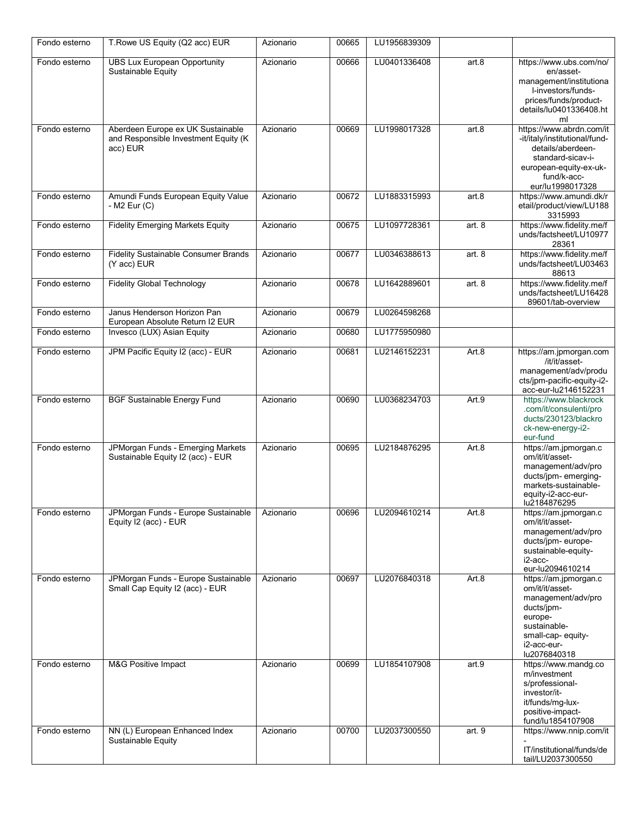| Fondo esterno | T. Rowe US Equity (Q2 acc) EUR                                                        | Azionario | 00665 | LU1956839309 |        |                                                                                                                                                                  |
|---------------|---------------------------------------------------------------------------------------|-----------|-------|--------------|--------|------------------------------------------------------------------------------------------------------------------------------------------------------------------|
| Fondo esterno | <b>UBS Lux European Opportunity</b><br>Sustainable Equity                             | Azionario | 00666 | LU0401336408 | art.8  | https://www.ubs.com/no/<br>en/asset-<br>management/institutiona<br>l-investors/funds-<br>prices/funds/product-<br>details/lu0401336408.ht<br>ml                  |
| Fondo esterno | Aberdeen Europe ex UK Sustainable<br>and Responsible Investment Equity (K<br>acc) EUR | Azionario | 00669 | LU1998017328 | art.8  | https://www.abrdn.com/it<br>-it/italy/institutional/fund-<br>details/aberdeen-<br>standard-sicav-i-<br>european-equity-ex-uk-<br>fund/k-acc-<br>eur/lu1998017328 |
| Fondo esterno | Amundi Funds European Equity Value<br>- M2 Eur (C)                                    | Azionario | 00672 | LU1883315993 | art.8  | https://www.amundi.dk/r<br>etail/product/view/LU188<br>3315993                                                                                                   |
| Fondo esterno | <b>Fidelity Emerging Markets Equity</b>                                               | Azionario | 00675 | LU1097728361 | art. 8 | https://www.fidelity.me/f<br>unds/factsheet/LU10977<br>28361                                                                                                     |
| Fondo esterno | <b>Fidelity Sustainable Consumer Brands</b><br>(Y acc) EUR                            | Azionario | 00677 | LU0346388613 | art.8  | https://www.fidelity.me/f<br>unds/factsheet/LU03463<br>88613                                                                                                     |
| Fondo esterno | <b>Fidelity Global Technology</b>                                                     | Azionario | 00678 | LU1642889601 | art. 8 | https://www.fidelity.me/f<br>unds/factsheet/LU16428<br>89601/tab-overview                                                                                        |
| Fondo esterno | Janus Henderson Horizon Pan<br>European Absolute Return I2 EUR                        | Azionario | 00679 | LU0264598268 |        |                                                                                                                                                                  |
| Fondo esterno | Invesco (LUX) Asian Equity                                                            | Azionario | 00680 | LU1775950980 |        |                                                                                                                                                                  |
| Fondo esterno | JPM Pacific Equity I2 (acc) - EUR                                                     | Azionario | 00681 | LU2146152231 | Art.8  | https://am.jpmorgan.com<br>/it/it/asset-<br>management/adv/produ<br>cts/jpm-pacific-equity-i2-<br>acc-eur-lu2146152231                                           |
| Fondo esterno | <b>BGF Sustainable Energy Fund</b>                                                    | Azionario | 00690 | LU0368234703 | Art.9  | https://www.blackrock<br>.com/it/consulenti/pro<br>ducts/230123/blackro<br>ck-new-energy-i2-<br>eur-fund                                                         |
| Fondo esterno | JPMorgan Funds - Emerging Markets<br>Sustainable Equity I2 (acc) - EUR                | Azionario | 00695 | LU2184876295 | Art.8  | https://am.jpmorgan.c<br>om/it/it/asset-<br>management/adv/pro<br>ducts/jpm- emerging-<br>markets-sustainable-<br>equity-i2-acc-eur-<br>lu2184876295             |
| Fondo esterno | JPMorgan Funds - Europe Sustainable<br>Equity I2 (acc) - EUR                          | Azionario | 00696 | LU2094610214 | Art.8  | https://am.jpmorgan.c<br>om/it/it/asset-<br>management/adv/pro<br>ducts/jpm- europe-<br>sustainable-equity-<br>i2-acc-<br>eur-lu2094610214                       |
| Fondo esterno | JPMorgan Funds - Europe Sustainable<br>Small Cap Equity I2 (acc) - EUR                | Azionario | 00697 | LU2076840318 | Art.8  | https://am.jpmorgan.c<br>om/it/it/asset-<br>management/adv/pro<br>ducts/jpm-<br>europe-<br>sustainable-<br>small-cap- equity-<br>i2-acc-eur-<br>lu2076840318     |
| Fondo esterno | M&G Positive Impact                                                                   | Azionario | 00699 | LU1854107908 | art.9  | https://www.mandg.co<br>m/investment<br>s/professional-<br>investor/it-<br>it/funds/mg-lux-<br>positive-impact-<br>fund/lu1854107908                             |
| Fondo esterno | NN (L) European Enhanced Index<br>Sustainable Equity                                  | Azionario | 00700 | LU2037300550 | art. 9 | https://www.nnip.com/it<br>IT/institutional/funds/de<br>tail/LU2037300550                                                                                        |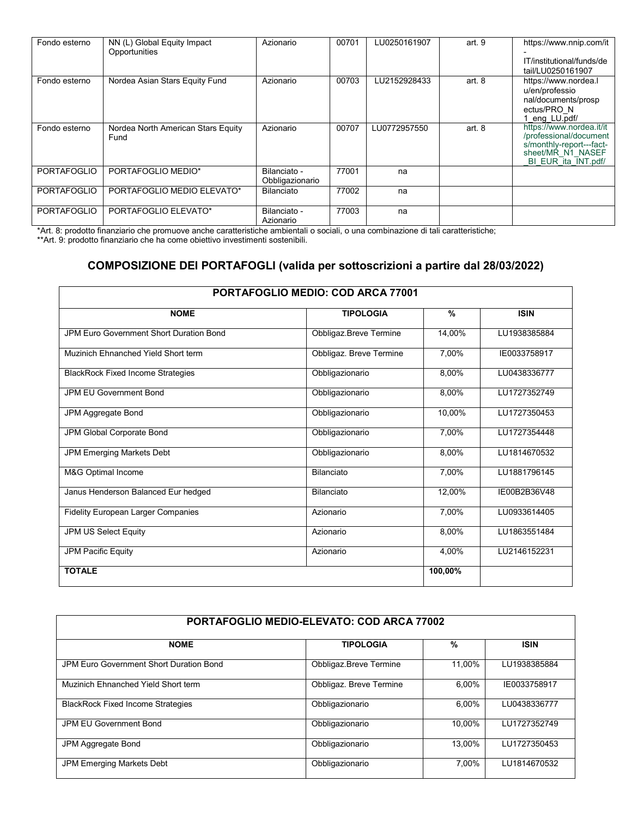| Fondo esterno      | NN (L) Global Equity Impact<br>Opportunities | Azionario                       | 00701 | LU0250161907 | art. 9   | https://www.nnip.com/it<br>IT/institutional/funds/de<br>tail/LU0250161907                                                  |
|--------------------|----------------------------------------------|---------------------------------|-------|--------------|----------|----------------------------------------------------------------------------------------------------------------------------|
| Fondo esterno      | Nordea Asian Stars Equity Fund               | Azionario                       | 00703 | LU2152928433 | art. $8$ | https://www.nordea.l<br>u/en/professio<br>nal/documents/prosp<br>ectus/PRO N<br>eng LU.pdf/                                |
| Fondo esterno      | Nordea North American Stars Equity<br>Fund   | Azionario                       | 00707 | LU0772957550 | art. $8$ | https://www.nordea.it/it<br>/professional/document<br>s/monthly-report---fact-<br>sheet/MR N1 NASEF<br>BI EUR ita INT.pdf/ |
| <b>PORTAFOGLIO</b> | PORTAFOGLIO MEDIO*                           | Bilanciato -<br>Obbligazionario | 77001 | na           |          |                                                                                                                            |
| <b>PORTAFOGLIO</b> | PORTAFOGLIO MEDIO ELEVATO*                   | Bilanciato                      | 77002 | na           |          |                                                                                                                            |
| <b>PORTAFOGLIO</b> | PORTAFOGLIO ELEVATO*                         | Bilanciato -<br>Azionario       | 77003 | na           |          |                                                                                                                            |

\*Art. 8: prodotto finanziario che promuove anche caratteristiche ambientali o sociali, o una combinazione di tali caratteristiche; \*\*Art. 9: prodotto finanziario che ha come obiettivo investimenti sostenibili.

## **COMPOSIZIONE DEI PORTAFOGLI (valida per sottoscrizioni a partire dal 28/03/2022)**

| <b>PORTAFOGLIO MEDIO: COD ARCA 77001</b>       |                         |         |              |  |  |  |  |  |
|------------------------------------------------|-------------------------|---------|--------------|--|--|--|--|--|
| <b>NOME</b>                                    | <b>TIPOLOGIA</b>        | $\%$    | <b>ISIN</b>  |  |  |  |  |  |
| <b>JPM Euro Government Short Duration Bond</b> | Obbligaz.Breve Termine  | 14,00%  | LU1938385884 |  |  |  |  |  |
| Muzinich Ehnanched Yield Short term            | Obbligaz. Breve Termine | 7,00%   | IE0033758917 |  |  |  |  |  |
| <b>BlackRock Fixed Income Strategies</b>       | Obbligazionario         | 8,00%   | LU0438336777 |  |  |  |  |  |
| <b>JPM EU Government Bond</b>                  | Obbligazionario         | 8,00%   | LU1727352749 |  |  |  |  |  |
| JPM Aggregate Bond                             | Obbligazionario         | 10,00%  | LU1727350453 |  |  |  |  |  |
| JPM Global Corporate Bond                      | Obbligazionario         | 7,00%   | LU1727354448 |  |  |  |  |  |
| JPM Emerging Markets Debt                      | Obbligazionario         | 8,00%   | LU1814670532 |  |  |  |  |  |
| M&G Optimal Income                             | Bilanciato              | 7,00%   | LU1881796145 |  |  |  |  |  |
| Janus Henderson Balanced Eur hedged            | Bilanciato              | 12,00%  | IE00B2B36V48 |  |  |  |  |  |
| <b>Fidelity European Larger Companies</b>      | Azionario               | 7,00%   | LU0933614405 |  |  |  |  |  |
| JPM US Select Equity                           | Azionario               | 8,00%   | LU1863551484 |  |  |  |  |  |
| <b>JPM Pacific Equity</b>                      | Azionario               | 4,00%   | LU2146152231 |  |  |  |  |  |
| <b>TOTALE</b>                                  |                         | 100,00% |              |  |  |  |  |  |

| PORTAFOGLIO MEDIO-ELEVATO: COD ARCA 77002 |                         |        |              |  |  |  |  |  |
|-------------------------------------------|-------------------------|--------|--------------|--|--|--|--|--|
| <b>NOME</b>                               | <b>TIPOLOGIA</b>        | %      | <b>ISIN</b>  |  |  |  |  |  |
| JPM Euro Government Short Duration Bond   | Obbligaz.Breve Termine  | 11,00% | LU1938385884 |  |  |  |  |  |
| Muzinich Ehnanched Yield Short term       | Obbligaz. Breve Termine | 6.00%  | IE0033758917 |  |  |  |  |  |
| <b>BlackRock Fixed Income Strategies</b>  | Obbligazionario         | 6.00%  | LU0438336777 |  |  |  |  |  |
| JPM EU Government Bond                    | Obbligazionario         | 10.00% | LU1727352749 |  |  |  |  |  |
| JPM Aggregate Bond                        | Obbligazionario         | 13.00% | LU1727350453 |  |  |  |  |  |
| <b>JPM Emerging Markets Debt</b>          | Obbligazionario         | 7.00%  | LU1814670532 |  |  |  |  |  |